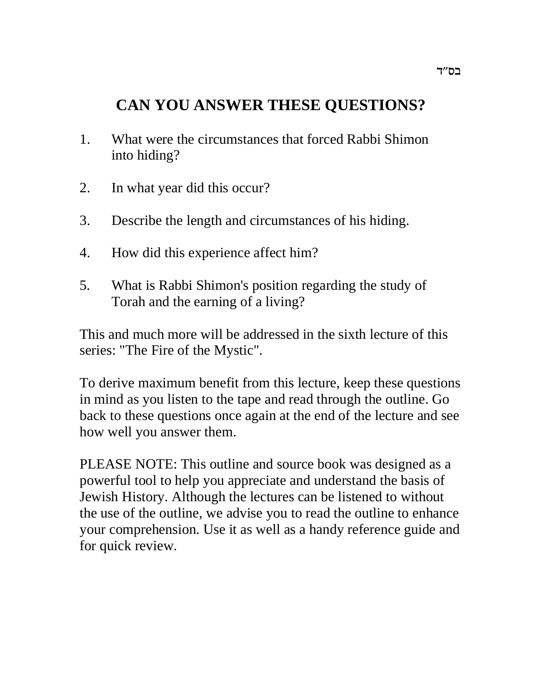# **CAN YOU ANSWER THESE QUESTIONS?**

- 1. What were the circumstances that forced Rabbi Shimon into hiding?
- 2. In what year did this occur?
- 3. Describe the length and circumstances of his hiding.
- 4. How did this experience affect him?
- 5. What is Rabbi Shimon's position regarding the study of Torah and the earning of a living?

This and much more will be addressed in the sixth lecture of this series: "The Fire of the Mystic".

To derive maximum benefit from this lecture, keep these questions in mind as you listen to the tape and read through the outline. Go back to these questions once again at the end of the lecture and see how well you answer them.

PLEASE NOTE: This outline and source book was designed as a powerful tool to help you appreciate and understand the basis of Jewish History. Although the lectures can be listened to without the use of the outline, we advise you to read the outline to enhance your comprehension. Use it as well as a handy reference guide and for quick review.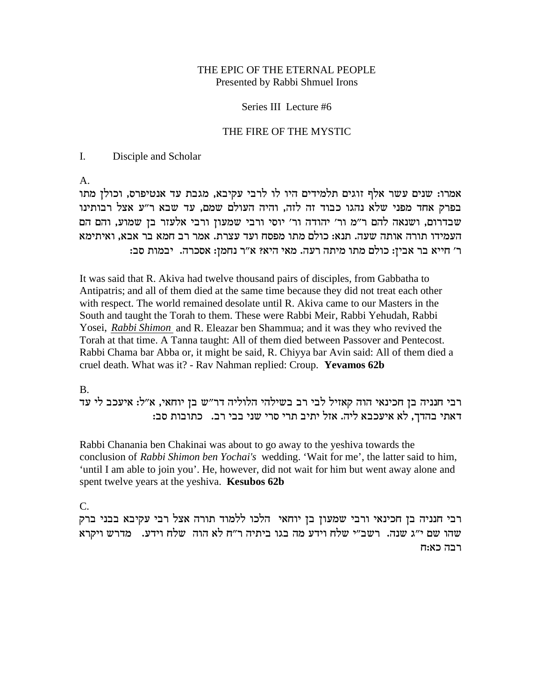#### THE EPIC OF THE ETERNAL PEOPLE Presented by Rabbi Shmuel Irons

#### Series III Lecture #6

#### THE FIRE OF THE MYSTIC

I. Disciple and Scholar

A.

אמרו: שנים עשר אלף זוגים תלמידים היו לו לרבי עקיבא, מגבת עד אנטיפרס, וכולן מתו בפרק אחד מפני שלא נהגו כבוד זה לזה, והיה העולם שמם, עד שבא ר"ע אצל רבותינו שבדרום, ושנאה להם ר"מ ור' יהודה ור' יוסי ורבי שמעון ורבי אלעזר בן שמוע, והם הם העמידו תורה אותה שעה. תנא: כולם מתו מפסח ועד עצרת. אמר רב חמא בר אבא, ואיתימא : ר׳ חייא בר אבין: כולם מתו מיתה רעה. מאי היא? א״ר נחמן: אסכרה. יבמות סב

It was said that R. Akiva had twelve thousand pairs of disciples, from Gabbatha to Antipatris; and all of them died at the same time because they did not treat each other with respect. The world remained desolate until R. Akiva came to our Masters in the South and taught the Torah to them. These were Rabbi Meir, Rabbi Yehudah, Rabbi Yosei, *Rabbi Shimon* and R. Eleazar ben Shammua; and it was they who revived the Torah at that time. A Tanna taught: All of them died between Passover and Pentecost. Rabbi Chama bar Abba or, it might be said, R. Chiyya bar Avin said: All of them died a cruel death. What was it? - Rav Nahman replied: Croup. **Yevamos 62b**

B.

רבי חנניה בן חכינאי הוה קאזיל לבי רב בשילהי הלוליה דר"ש בן יוחאי, א"ל: איעכב לי עד : דאתי בהדך, לא איעכבא ליה. אזל יתיב תרי סרי שני בבי רב. כתובות סב

Rabbi Chanania ben Chakinai was about to go away to the yeshiva towards the conclusion of *Rabbi Shimon ben Yochai's* wedding. 'Wait for me', the latter said to him, 'until I am able to join you'. He, however, did not wait for him but went away alone and spent twelve years at the yeshiva. **Kesubos 62b**

C.

רבי חנניה בן חכינאי ורבי שמעון בן יוחאי הלכו ללמוד תורה אצל רבי עקיבא בבני ברק  $x$ שהו שם י"ג שנה. רשב"י שלח וידע מה בגו ביתיה ר"ח לא הוה שלח ויקרא . רבה כא:ח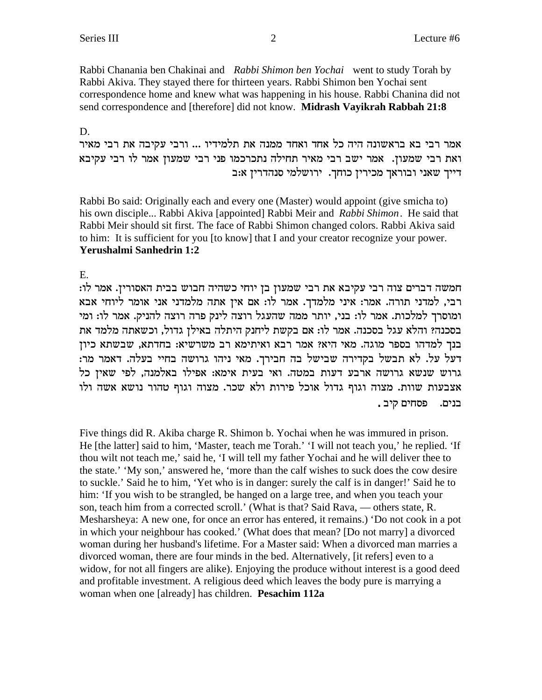Rabbi Chanania ben Chakinai and *Rabbi Shimon ben Yochai* went to study Torah by Rabbi Akiva. They stayed there for thirteen years. Rabbi Shimon ben Yochai sent correspondence home and knew what was happening in his house. Rabbi Chanina did not send correspondence and [therefore] did not know. **Midrash Vayikrah Rabbah 21:8**

#### D.

אמר רבי בא בראשונה היה כל אחד ואחד ממנה את תלמידיו ... ורבי עקיבה את רבי מאיר ואת רבי שמעון. אמר ישב רבי מאיר תחילה נתכרכמו פני רבי שמעון אמר לו רבי עקיבא דייך שאני ובוראך מכירין כוחך. ירושלמי סנהדרין א:ב

Rabbi Bo said: Originally each and every one (Master) would appoint (give smicha to) his own disciple... Rabbi Akiva [appointed] Rabbi Meir and *Rabbi Shimon*. He said that Rabbi Meir should sit first. The face of Rabbi Shimon changed colors. Rabbi Akiva said to him: It is sufficient for you [to know] that I and your creator recognize your power. **Yerushalmi Sanhedrin 1:2**

#### E.

:המשה דברים צוה רבי עקיבא את רבי שמעון בן יוחי כשהיה חבוש בבית האסורין. אמר לו רבי, למדני תורה. אמר: איני מלמדך. אמר לו: אם אין אתה מלמדני אני אומר ליוחי אבא ומוסרך למלכות. אמר לו: בני, יותר ממה שהעגל רוצה לינק פרה רוצה להניק. אמר לו: ומי בסכנה? והלא עגל בסכנה. אמר לו: אם בקשת ליחנק היתלה באילן גדול, וכשאתה מלמד את בנך למדהו בספר מוגה. מאי היא? אמר רבא ואיתימא רב משרשיא: בחדתא, שבשתא כיון : דעל על. לא תבשל בקדירה שבישל בה חבירך. מאי ניהו גרושה בחיי בעלה. דאמר מר גרוש שנשא גרושה ארבע דעות במטה. ואי בעית אימא: אפילו באלמנה, לפי שאין כל אצבעות שוות. מצוה וגוף גדול אוכל פירות ולא שכר. מצוה וגוף טהור נושא אשה ולו בנים. פסחים קיב.

Five things did R. Akiba charge R. Shimon b. Yochai when he was immured in prison. He [the latter] said to him, 'Master, teach me Torah.' 'I will not teach you,' he replied. 'If thou wilt not teach me,' said he, 'I will tell my father Yochai and he will deliver thee to the state.' 'My son,' answered he, 'more than the calf wishes to suck does the cow desire to suckle.' Said he to him, 'Yet who is in danger: surely the calf is in danger!' Said he to him: 'If you wish to be strangled, be hanged on a large tree, and when you teach your son, teach him from a corrected scroll.' (What is that? Said Rava, — others state, R. Mesharsheya: A new one, for once an error has entered, it remains.) 'Do not cook in a pot in which your neighbour has cooked.' (What does that mean? [Do not marry] a divorced woman during her husband's lifetime. For a Master said: When a divorced man marries a divorced woman, there are four minds in the bed. Alternatively, [it refers] even to a widow, for not all fingers are alike). Enjoying the produce without interest is a good deed and profitable investment. A religious deed which leaves the body pure is marrying a woman when one [already] has children. **Pesachim 112a**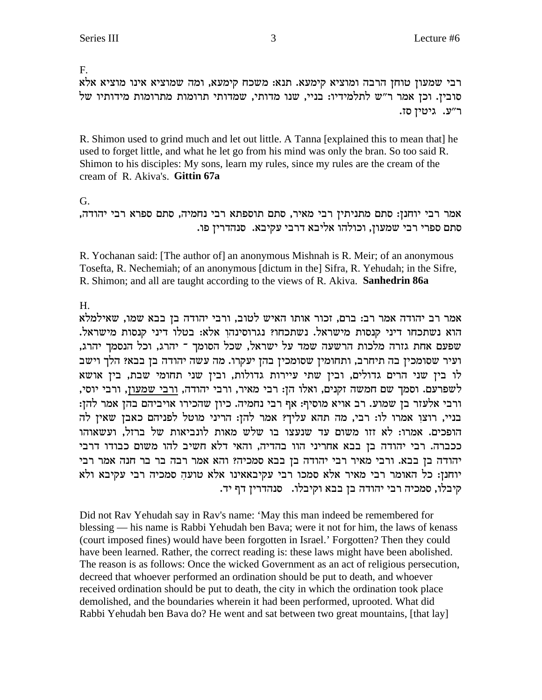F.

רבי שמעון טוחן הרבה ומוציא קימעא. תנא: משכח קימעא, ומה שמוציא אינו מוציא אלא סוביז. וכז אמר ר"ש לתלמידיו: בניי, שנו מדותי, שמדותי תרומות מתרומות מידותיו של . ר"ע. גיטין סז

R. Shimon used to grind much and let out little. A Tanna [explained this to mean that] he used to forget little, and what he let go from his mind was only the bran. So too said R. Shimon to his disciples: My sons, learn my rules, since my rules are the cream of the cream of R. Akiva's. **Gittin 67a**

G.

אמר רבי יוחנן: סתם מתניתין רבי מאיר, סתם תוספתא רבי נחמיה, סתם ספרא רבי יהודה, . סתם ספרי רבי שמעון, וכולהו אליבא דרבי עקיבא. סנהדרין פו

R. Yochanan said: [The author of] an anonymous Mishnah is R. Meir; of an anonymous Tosefta, R. Nechemiah; of an anonymous [dictum in the] Sifra, R. Yehudah; in the Sifre, R. Shimon; and all are taught according to the views of R. Akiva. **Sanhedrin 86a**

H.

אמר רב יהודה אמר רב: ברם, זכור אותו האיש לטוב, ורבי יהודה בן בבא שמו, שאילמלא .<br>הוא נשתכחו דיני קנסות מישראל. נשתכחו? נגרוסינהו אלא: בטלו דיני קנסות מישראל. , שפעם אחת גזרה מלכות הרשעה שמד על ישראל, שכל הסומך ־ יהרג, וכל הנסמך יהרג ועיר שסומכין בה תיחרב, ותחומין שסומכין בהן יעקרו. מה עשה יהודה בן בבא? הלך וישב לו בין שני הרים גדולים, ובין שתי עיירות גדולות, ובין שני תחומי שבת, בין אושא לשפרעם. וסמך שם חמשה זקנים, ואלו הן: רבי מאיר, ורבי יהודה, ורבי שמעון, ורבי יוסי, : ורבי אלעזר בן שמוע. רב אויא מוסיף: אף רבי נחמיה. כיון שהכירו אויביהם בהן אמר להן בניי, רוצו אמרו לו: רבי, מה תהא עליך? אמר להן: הריני מוטל לפניהם כאבן שאין לה הופכים. אמרו: לא זזו משום עד שנעצו בו שלש מאות לונביאות של ברזל, ועשאוהו ככברה. רבי יהודה בן בבא אחריני הוו בהדיה, והאי דלא חשיב להו משום כבודו דרבי יהודה בן בבא. ורבי מאיר רבי יהודה בן בבא סמכיה? והא אמר רבה בר תנה אמר רבי יוחנן: כל האומר רבי מאיר אלא סמכו רבי עקיבאאינו אלא טועה סמכיה רבי עקיבא ולא . קיבלו, סמכיה רבי יהודה בן בבא וקיבלו. סנהדרין דף יד

Did not Rav Yehudah say in Rav's name: 'May this man indeed be remembered for blessing — his name is Rabbi Yehudah ben Bava; were it not for him, the laws of kenass (court imposed fines) would have been forgotten in Israel.' Forgotten? Then they could have been learned. Rather, the correct reading is: these laws might have been abolished. The reason is as follows: Once the wicked Government as an act of religious persecution, decreed that whoever performed an ordination should be put to death, and whoever received ordination should be put to death, the city in which the ordination took place demolished, and the boundaries wherein it had been performed, uprooted. What did Rabbi Yehudah ben Bava do? He went and sat between two great mountains, [that lay]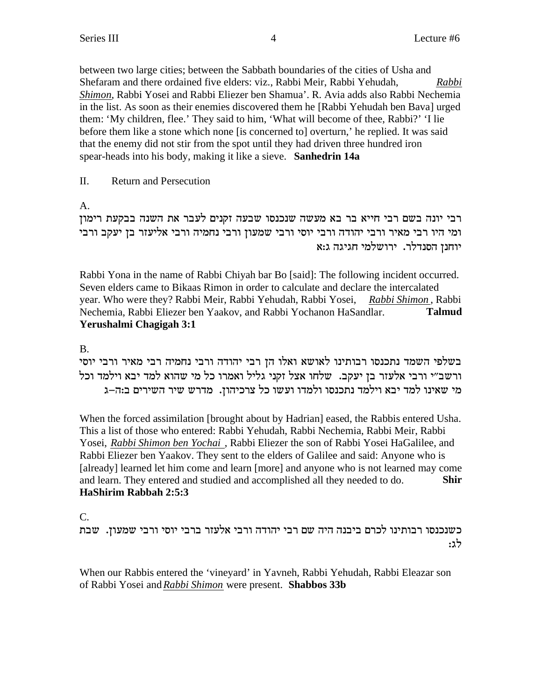between two large cities; between the Sabbath boundaries of the cities of Usha and Shefaram and there ordained five elders: viz., Rabbi Meir, Rabbi Yehudah, *Rabbi Shimon*, Rabbi Yosei and Rabbi Eliezer ben Shamua'. R. Avia adds also Rabbi Nechemia in the list. As soon as their enemies discovered them he [Rabbi Yehudah ben Bava] urged them: 'My children, flee.' They said to him, 'What will become of thee, Rabbi?' 'I lie before them like a stone which none [is concerned to] overturn,' he replied. It was said that the enemy did not stir from the spot until they had driven three hundred iron spear-heads into his body, making it like a sieve. **Sanhedrin 14a**

# II. Return and Persecution

A.

רבי יונה בשם רבי חייא בר בא מעשה שנכנסו שבעה זקנים לעבר את השנה בבקעת רימון ומי היו רבי מאיר ורבי יהודה ורבי יוסי ורבי שמעון ורבי נחמיה ורבי אליעזר בן יעקב ורבי יוחנן הסנדלר. ירושלמי חגיגה ג:א

Rabbi Yona in the name of Rabbi Chiyah bar Bo [said]: The following incident occurred. Seven elders came to Bikaas Rimon in order to calculate and declare the intercalated year. Who were they? Rabbi Meir, Rabbi Yehudah, Rabbi Yosei, *Rabbi Shimon* , Rabbi Nechemia, Rabbi Eliezer ben Yaakov, and Rabbi Yochanon HaSandlar. **Talmud Yerushalmi Chagigah 3:1**

# B.

בשלפי השמד נתכנסו רבותינו לאושא ואלו הן רבי יהודה ורבי נחמיה רבי מאיר ורבי יוסי ורשב״י ורבי אלעזר בז יעקב. שלחו אצל זקני גליל ואמרו כל מי שהוא למד יבא וילמד וכל מי שאינו למד יבא וילמד נתכנסו ולמדו ועשו כל צרכיהון. מדרש שיר השירים ב:ה–ג

When the forced assimilation [brought about by Hadrian] eased, the Rabbis entered Usha. This a list of those who entered: Rabbi Yehudah, Rabbi Nechemia, Rabbi Meir, Rabbi Yosei, *Rabbi Shimon ben Yochai* , Rabbi Eliezer the son of Rabbi Yosei HaGalilee, and Rabbi Eliezer ben Yaakov. They sent to the elders of Galilee and said: Anyone who is [already] learned let him come and learn [more] and anyone who is not learned may come and learn. They entered and studied and accomplished all they needed to do. **Shir HaShirim Rabbah 2:5:3**

# C.

כשנכנסו רבותינו לכרם ביבנה היה שם רבי יהודה ורבי אלעזר ברבי יוסי ורבי שמעון. שבת :bl

When our Rabbis entered the 'vineyard' in Yavneh, Rabbi Yehudah, Rabbi Eleazar son of Rabbi Yosei and*Rabbi Shimon* were present. **Shabbos 33b**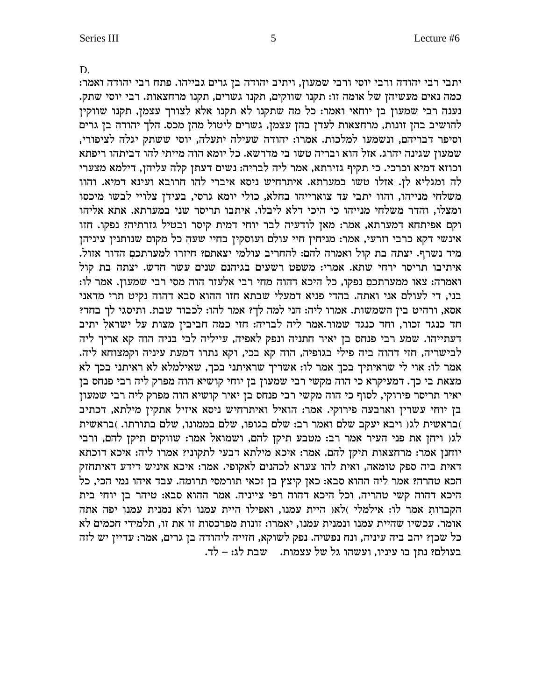D. יתבי רבי יהודה ורבי יוסי ורבי שמעון, ויתיב יהודה בן גרים גבייהו. פתח רבי יהודה ואמר: . כמה נאים מעשיהן של אומה זו: תקנו שווקים, תקנו גשרים, תקנו מרחצאות. רבי יוסי שתק נענה רבי שמעון בן יוחאי ואמר: כל מה שתקנו לא תקנו אלא לצורך עצמן, תקנו שווקין להושיב בהן זונות, מרחצאות לעדן בהן עצמן, גשרים ליטול מהן מכס. הלך יהודה בן גרים , וסיפר דבריהם, ונשמעו למלכות. אמרו: יהודה שעילה יתעלה, יוסי ששתק יגלה לציפורי שמעון שגינה יהרג. אזל הוא ובריה טשו בי מדרשא. כל יומא הוה מייתי להו דביתהו ריפתא וכוזא דמיא וכרכי. כי תקיף גזירתא, אמר ליה לבריה: נשים דעתן קלה עליהן, דילמא מצערי לה ומגליא לן. אזלו טשו במערתא. איתרחיש ניסא איברי להו חרובא ועינא דמיא. והוו .<br>משלחי מנייהו, והוו יתבי עד צוארייהו בחלא, כולי יומא גרסי, בעידן צלויי לבשו מיכסו ומצלו. והדר משלחי מנייהו כי היכי דלא ליבלו. איתבו תריסר שני במערתא. אתא אליהו וקם אפיתחא דמערתא, אמר: מאן לודעיה לבר יוחי דמית קיסר ובטיל גזרתיה? נפקו. חזו אינשי דקא כרבי וזרעי, אמר: מניחין חיי עולם ועוסקין בחיי שעה כל מקום שנותנין עיניהן .<br>מיד נשרף. יצתה בת קול ואמרה להם: להחריב עולמי יצאתם? חיזרו למערתכם הדור אזול. .<br>איתיבו תריסר ירחי שתא. אמרי: משפט רשעים בגיהנם שנים עשר חדש. יצתה בת קול ואמרה: צאו ממערתכם נפקו, כל היכא דהוה מחי רבי אלעזר הוה מסי רבי שמעון. אמר לו: בני, די לעולם אני ואתה. בהדי פניא דמעלי שבתא חזו ההוא סבא דהוה נקיט תרי מדאני .<br>אסא, ורהיט בין השמשות. אמרו ליה: הני למה לך? אמר להו: לכבוד שבת. ותיסגי לך בחד? חד כנגד זכור, וחד כנגד שמור.אמר ליה לבריה: חזי כמה חביבין מצות על ישראל יתיב דעתייהו. שמע רבי פנחס בן יאיר חתניה ונפק לאפיה, עייליה לבי בניה הוה קא אריך ליה לבישריה, חזי דהוה ביה פילי בגופיה, הוה קא בכי, וקא נתרו דמעת עיניה וקמצוחא ליה. אמר לו: אוי לי שראיתיך בכך אמר לו: אשריך שראיתני בכך, שאילמלא לא ראיתני בכך לא מצאת בי כך. דמעיקרא כי הוה מקשי רבי שמעון בן יוחי קושיא הוה מפרק ליה רבי פנחס בן יאיר תריסר פירוקי, לסוף כי הוה מקשי רבי פנחס בן יאיר קושיא הוה מפרק ליה רבי שמעון בן יוחי עשרין וארבעה פירוקי. אמר: הואיל ואיתרחיש ניסא איזיל אתקין מילתא, דכתיב בראשית לגו ויבא יעקב שלם ואמר רב: שלם בגופו, שלם בממונו, שלם בתורתו. )בראשית  $($ לגו ויחן את פני העיר אמר רב: מטבע תיקן להם, ושמואל אמר: שווקים תיקן להם, ורבי יוחנן אמר: מרחצאות תיקן להם. אמר: איכא מילתא דבעי לתקוני? אמרו ליה: איכא דוכתא דאית ביה ספק טומאה, ואית להו צערא לכהנים לאקופי. אמר: איכא איניש דידע דאיתחזק הכא טהרה? אמר ליה ההוא סבא: כאן קיצץ בן זכאי תורמסי תרומה. עבד איהו נמי הכי, כל היכא דהוה קשי טהריה, וכל היכא דהוה רפי צייניה. אמר ההוא סבא: טיהר בן יוחי בית הקברות אמר לו: אילמלי )לא( היית עמנו, ואפילו היית עמנו ולא נמנית עמנו יפה אתה אומר. עכשיו שהיית עמנו ונמנית עמנו, יאמרו: זונות מפרכסות זו את זו, תלמידי חכמים לא כל שכן? יהב ביה עיניה, ונח נפשיה. נפק לשוקא, חזייה ליהודה בן גרים, אמר: עדיין יש לזה . בעולם? נתן בו עיניו, ועשהו גל של עצמות. משבת לג: – לד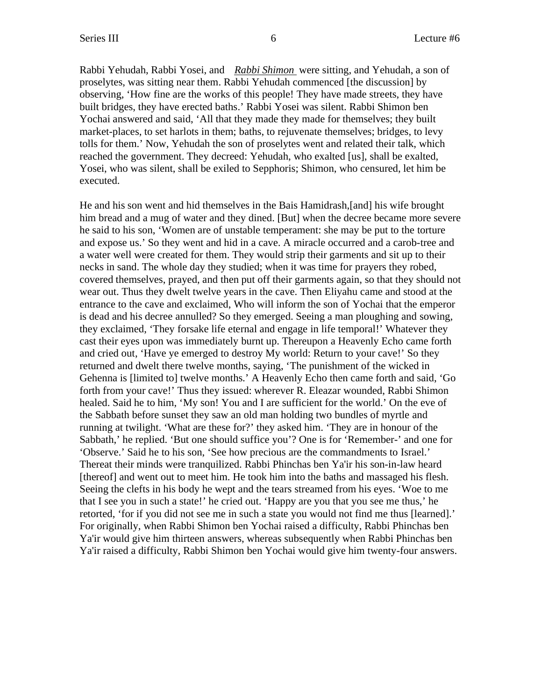Rabbi Yehudah, Rabbi Yosei, and *Rabbi Shimon* were sitting, and Yehudah, a son of proselytes, was sitting near them. Rabbi Yehudah commenced [the discussion] by observing, 'How fine are the works of this people! They have made streets, they have built bridges, they have erected baths.' Rabbi Yosei was silent. Rabbi Shimon ben Yochai answered and said, 'All that they made they made for themselves; they built market-places, to set harlots in them; baths, to rejuvenate themselves; bridges, to levy tolls for them.' Now, Yehudah the son of proselytes went and related their talk, which reached the government. They decreed: Yehudah, who exalted [us], shall be exalted, Yosei, who was silent, shall be exiled to Sepphoris; Shimon, who censured, let him be executed.

He and his son went and hid themselves in the Bais Hamidrash,[and] his wife brought him bread and a mug of water and they dined. [But] when the decree became more severe he said to his son, 'Women are of unstable temperament: she may be put to the torture and expose us.' So they went and hid in a cave. A miracle occurred and a carob-tree and a water well were created for them. They would strip their garments and sit up to their necks in sand. The whole day they studied; when it was time for prayers they robed, covered themselves, prayed, and then put off their garments again, so that they should not wear out. Thus they dwelt twelve years in the cave. Then Eliyahu came and stood at the entrance to the cave and exclaimed, Who will inform the son of Yochai that the emperor is dead and his decree annulled? So they emerged. Seeing a man ploughing and sowing, they exclaimed, 'They forsake life eternal and engage in life temporal!' Whatever they cast their eyes upon was immediately burnt up. Thereupon a Heavenly Echo came forth and cried out, 'Have ye emerged to destroy My world: Return to your cave!' So they returned and dwelt there twelve months, saying, 'The punishment of the wicked in Gehenna is [limited to] twelve months.' A Heavenly Echo then came forth and said, 'Go forth from your cave!' Thus they issued: wherever R. Eleazar wounded, Rabbi Shimon healed. Said he to him, 'My son! You and I are sufficient for the world.' On the eve of the Sabbath before sunset they saw an old man holding two bundles of myrtle and running at twilight. 'What are these for?' they asked him. 'They are in honour of the Sabbath,' he replied. 'But one should suffice you'? One is for 'Remember-' and one for 'Observe.' Said he to his son, 'See how precious are the commandments to Israel.' Thereat their minds were tranquilized. Rabbi Phinchas ben Ya'ir his son-in-law heard [thereof] and went out to meet him. He took him into the baths and massaged his flesh. Seeing the clefts in his body he wept and the tears streamed from his eyes. 'Woe to me that I see you in such a state!' he cried out. 'Happy are you that you see me thus,' he retorted, 'for if you did not see me in such a state you would not find me thus [learned].' For originally, when Rabbi Shimon ben Yochai raised a difficulty, Rabbi Phinchas ben Ya'ir would give him thirteen answers, whereas subsequently when Rabbi Phinchas ben Ya'ir raised a difficulty, Rabbi Shimon ben Yochai would give him twenty-four answers.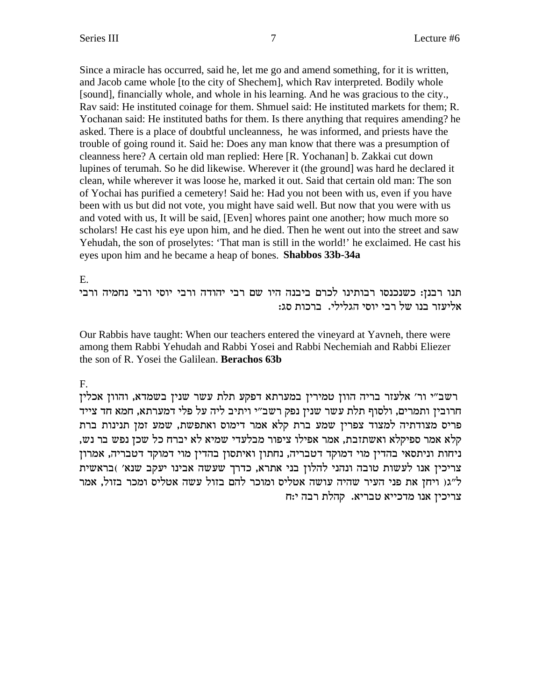Since a miracle has occurred, said he, let me go and amend something, for it is written, and Jacob came whole [to the city of Shechem], which Rav interpreted. Bodily whole [sound], financially whole, and whole in his learning. And he was gracious to the city., Rav said: He instituted coinage for them. Shmuel said: He instituted markets for them; R. Yochanan said: He instituted baths for them. Is there anything that requires amending? he asked. There is a place of doubtful uncleanness, he was informed, and priests have the trouble of going round it. Said he: Does any man know that there was a presumption of cleanness here? A certain old man replied: Here [R. Yochanan] b. Zakkai cut down lupines of terumah. So he did likewise. Wherever it (the ground] was hard he declared it clean, while wherever it was loose he, marked it out. Said that certain old man: The son of Yochai has purified a cemetery! Said he: Had you not been with us, even if you have been with us but did not vote, you might have said well. But now that you were with us and voted with us, It will be said, [Even] whores paint one another; how much more so scholars! He cast his eye upon him, and he died. Then he went out into the street and saw Yehudah, the son of proselytes: 'That man is still in the world!' he exclaimed. He cast his eyes upon him and he became a heap of bones. **Shabbos 33b-34a**

#### E.

תנו רבנז: כשנכנסו רבותינו לכרם ביבנה היו שם רבי יהודה ורבי יוסי ורבי נחמיה ורבי אליעזר בנו של רבי יוסי הגלילי. ברכות סג:

Our Rabbis have taught: When our teachers entered the vineyard at Yavneh, there were among them Rabbi Yehudah and Rabbi Yosei and Rabbi Nechemiah and Rabbi Eliezer the son of R. Yosei the Galilean. **Berachos 63b**

### F.

רשב״י ור׳ אלעזר בריה הוון טמירין במערתא דפקע תלת עשר שנין בשמדא, והוון אכלין חרובין ותמרים, ולסוף תלת עשר שנין נפק רשב״י ויתיב ליה על פלי דמערתא, חמא חד צייד פריס מצודתיה למצוד צפרין שמע ברת קלא אמר דימוס ואתפשת, שמע זמן תנינות ברת , קלא אמר ספיקלא ואשתזבת, אמר אפילו ציפור מבלעדי שמיא לא יברח כל שכז נפש בר נש ניחות וניתסאי בהדין מוי דמוקד דטבריה, נחתון ואיתסון בהדין מוי דמוקד דטבריה, אמרון צריכין אנו לעשות טובה ונהני להלון בני אתרא, כדרך שעשה אבינו יעקב שנא׳ )בראשית ל״גו ויחז את פני העיר שהיה עושה אטליס ומוכר להם בזול עשה אטליס ומכר בזול, אמר צריכין אנו מדכייא טבריא. קהלת רבה י:ח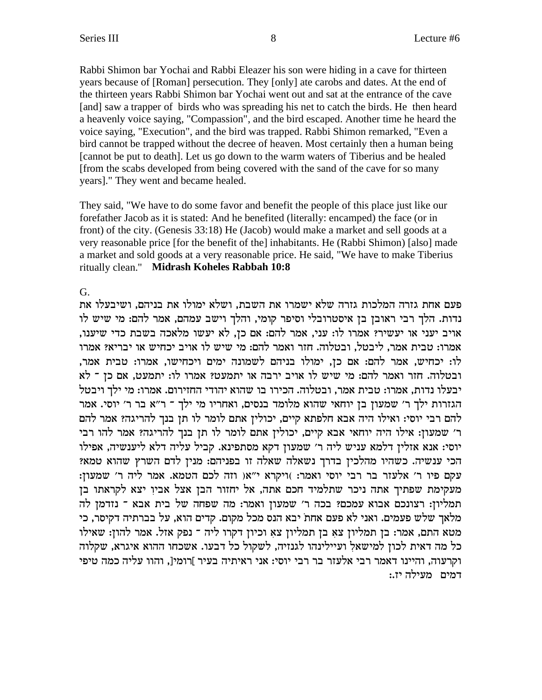Rabbi Shimon bar Yochai and Rabbi Eleazer his son were hiding in a cave for thirteen years because of [Roman] persecution. They [only] ate carobs and dates. At the end of the thirteen years Rabbi Shimon bar Yochai went out and sat at the entrance of the cave [and] saw a trapper of birds who was spreading his net to catch the birds. He then heard a heavenly voice saying, "Compassion", and the bird escaped. Another time he heard the voice saying, "Execution", and the bird was trapped. Rabbi Shimon remarked, "Even a bird cannot be trapped without the decree of heaven. Most certainly then a human being [cannot be put to death]. Let us go down to the warm waters of Tiberius and be healed [from the scabs developed from being covered with the sand of the cave for so many years]." They went and became healed.

They said, "We have to do some favor and benefit the people of this place just like our forefather Jacob as it is stated: And he benefited (literally: encamped) the face (or in front) of the city. (Genesis 33:18) He (Jacob) would make a market and sell goods at a very reasonable price [for the benefit of the] inhabitants. He (Rabbi Shimon) [also] made a market and sold goods at a very reasonable price. He said, "We have to make Tiberius ritually clean." **Midrash Koheles Rabbah 10:8**

#### G.

פעם אחת גזרה המלכות גזרה שלא ישמרו את השבת, ושלא ימולו את בניהם, ושיבעלו את נדות. הלך רבי ראובז בז איסטרובלי וסיפר קומי, והלך וישב עמהם, אמר להם: מי שיש לו ,<br>אויב יעני או יעשיר? אמרו לו: עני, אמר להם: אם כן, לא יעשו מלאכה בשבת כדי שיענו אמרו: טבית אמר, ליבטל, ובטלוה. חזר ואמר להם: מי שיש לו אויב יכחיש או יבריא? אמרו , לו: יכחיש, אמר להם: אם כן, ימולו בניהם לשמונה ימים ויכחישו, אמרו: טבית אמר ובטלוה. חזר ואמר להם: מי שיש לו אויב ירבה או יתמעט? אמרו לו: יתמעט, אם כן ־ לא יבעלו נדות, אמרו: טבית אמר, ובטלוה. הכירו בו שהוא יהודי החזירום. אמרו: מי ילך ויבטל הגזרות ילך ר' שמעון בן יוחאי שהוא מלומד בנסים, ואחריו מי ילך ־ ר"א בר ר' יוסי. אמר להם רבי יוסי: ואילו היה אבא חלפתא קיים, יכולין אתם לומר לו תן בנך להריגה? אמר להם ר' שמעון: אילו היה יוחאי אבא קיים, יכולין אתם לומר לו תן בנך להריגה? אמר להו רבי יוסי: אנא אזלין דלמא עניש ליה ר' שמעון דקא מסתפינא. קביל עליה דלא ליענשיה, אפילו הכי ענשיה. כשהיו מהלכין בדרך נשאלה שאלה זו בפניהם: מנין לדם השרץ שהוא טמא? : עקם פיו ר' אלעזר בר רבי יוסי ואמר: )ויקרא י"א( וזה לכם הטמא. אמר ליה ר' שמעון מעקימת שפתיך אתה ניכר שתלמיד חכם אתה, אל יחזור הבן אצל אביו יצא לקראתו בן תמליון: רצונכם אבוא עמכם? בכה ר' שמעון ואמר: מה שפחה של בית אבא ־ נזדמן לה מלאך שלש פעמים. ואני לא פעם אחת יבא הנס מכל מקום. קדים הוא, על בברתיה דקיסר, כי מטא התם, אמר: בן תמליון צא בן תמליון צא וכיון דקרו ליה ־ נפק אזל. אמר להון: שאילו כל מה דאית לכון למישאל ועיילינהו לגנזיה, לשקול כל דבעו. אשכחו ההוא איגרא, שקלוה וקרעוה, והיינו דאמר רבי אלעזר בר רבי יוסי: אני ראיתיה בעיר ]רומי[, והוו עליה כמה טיפי ..דמים מעילה יז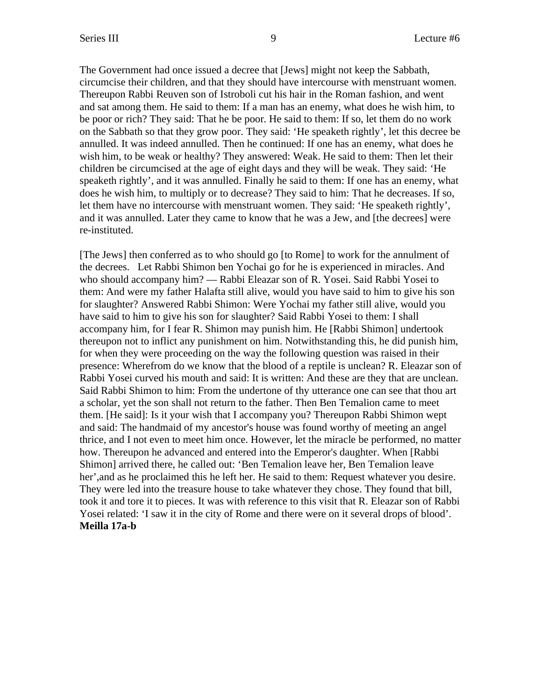The Government had once issued a decree that [Jews] might not keep the Sabbath, circumcise their children, and that they should have intercourse with menstruant women. Thereupon Rabbi Reuven son of Istroboli cut his hair in the Roman fashion, and went and sat among them. He said to them: If a man has an enemy, what does he wish him, to be poor or rich? They said: That he be poor. He said to them: If so, let them do no work on the Sabbath so that they grow poor. They said: 'He speaketh rightly', let this decree be annulled. It was indeed annulled. Then he continued: If one has an enemy, what does he wish him, to be weak or healthy? They answered: Weak. He said to them: Then let their children be circumcised at the age of eight days and they will be weak. They said: 'He speaketh rightly', and it was annulled. Finally he said to them: If one has an enemy, what does he wish him, to multiply or to decrease? They said to him: That he decreases. If so, let them have no intercourse with menstruant women. They said: 'He speaketh rightly', and it was annulled. Later they came to know that he was a Jew, and [the decrees] were re-instituted.

[The Jews] then conferred as to who should go [to Rome] to work for the annulment of the decrees. Let Rabbi Shimon ben Yochai go for he is experienced in miracles. And who should accompany him? — Rabbi Eleazar son of R. Yosei. Said Rabbi Yosei to them: And were my father Halafta still alive, would you have said to him to give his son for slaughter? Answered Rabbi Shimon: Were Yochai my father still alive, would you have said to him to give his son for slaughter? Said Rabbi Yosei to them: I shall accompany him, for I fear R. Shimon may punish him. He [Rabbi Shimon] undertook thereupon not to inflict any punishment on him. Notwithstanding this, he did punish him, for when they were proceeding on the way the following question was raised in their presence: Wherefrom do we know that the blood of a reptile is unclean? R. Eleazar son of Rabbi Yosei curved his mouth and said: It is written: And these are they that are unclean. Said Rabbi Shimon to him: From the undertone of thy utterance one can see that thou art a scholar, yet the son shall not return to the father. Then Ben Temalion came to meet them. [He said]: Is it your wish that I accompany you? Thereupon Rabbi Shimon wept and said: The handmaid of my ancestor's house was found worthy of meeting an angel thrice, and I not even to meet him once. However, let the miracle be performed, no matter how. Thereupon he advanced and entered into the Emperor's daughter. When [Rabbi Shimon] arrived there, he called out: 'Ben Temalion leave her, Ben Temalion leave her',and as he proclaimed this he left her. He said to them: Request whatever you desire. They were led into the treasure house to take whatever they chose. They found that bill, took it and tore it to pieces. It was with reference to this visit that R. Eleazar son of Rabbi Yosei related: 'I saw it in the city of Rome and there were on it several drops of blood'. **Meilla 17a-b**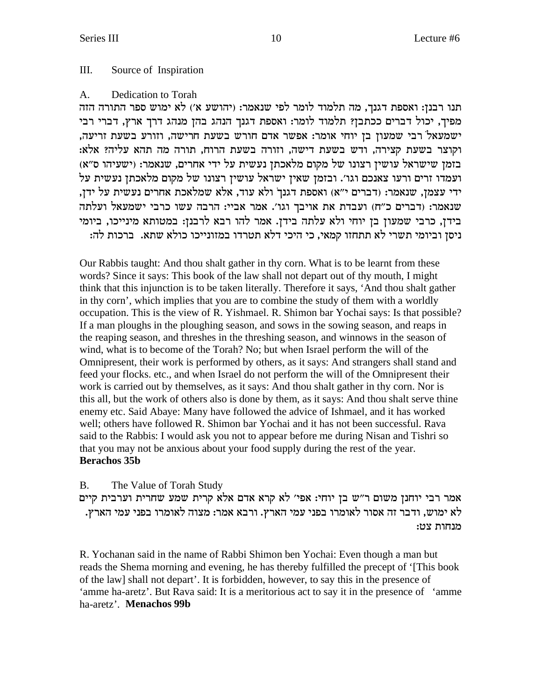#### III. Source of Inspiration

#### A. Dedication to Torah

תנו רבנן: ואספת דגנך, מה תלמוד לומר לפי שנאמר: (יהושע א׳) לא ימוש ספר התורה הזה מפיך, יכול דברים ככתבן? תלמוד לומר: ואספת דגנך הנהג בהן מנהג דרך ארץ, דברי רבי ישמעאל רבי שמעון בן יוחי אומר: אפשר אדם חורש בשעת חרישה, וזורע בשעת זריעה, וקוצר בשעת קצירה, ודש בשעת דישה, וזורה בשעת הרוח, תורה מה תהא עליה? אלא: (מ' בזמן הישראל עושין רצונו של מקום מלאכתן נעשית על ידי אחרים, שנאמר: וישעיהו ס"א ועמדו זרים ורעו צאנכם וגו'. ובזמן שאין ישראל עושין רצונו של מקום מלאכתן נעשית על ידי עצמן, שנאמר: (דברים י"א) ואספת דגנך ולא עוד, אלא שמלאכת אחרים נעשית על ידן,  $\alpha$ ועלתה ועבדת המדי הרבה מצרי: הרבה שעש הבני השמעאל העלתה : $\alpha$ בידן, כרבי שמעון בן יוחי ולא עלתה בידן. אמר להו רבא לרבנן: במטותא מינייכו, ביומי ניסז וביומי תשרי לא תתחזו קמאי, כי היכי דלא תטרדו במזונייכו כולא שתא. ברכות לה:

Our Rabbis taught: And thou shalt gather in thy corn. What is to be learnt from these words? Since it says: This book of the law shall not depart out of thy mouth, I might think that this injunction is to be taken literally. Therefore it says, 'And thou shalt gather in thy corn', which implies that you are to combine the study of them with a worldly occupation. This is the view of R. Yishmael. R. Shimon bar Yochai says: Is that possible? If a man ploughs in the ploughing season, and sows in the sowing season, and reaps in the reaping season, and threshes in the threshing season, and winnows in the season of wind, what is to become of the Torah? No; but when Israel perform the will of the Omnipresent, their work is performed by others, as it says: And strangers shall stand and feed your flocks. etc., and when Israel do not perform the will of the Omnipresent their work is carried out by themselves, as it says: And thou shalt gather in thy corn. Nor is this all, but the work of others also is done by them, as it says: And thou shalt serve thine enemy etc. Said Abaye: Many have followed the advice of Ishmael, and it has worked well; others have followed R. Shimon bar Yochai and it has not been successful. Rava said to the Rabbis: I would ask you not to appear before me during Nisan and Tishri so that you may not be anxious about your food supply during the rest of the year. **Berachos 35b**

### B. The Value of Torah Study

אמר רבי יוחנן משום ר"ש בן יוחי: אפי' לא קרא אדם אלא קרית שמע שחרית וערבית קיים .<br>לא ימוש, ודבר זה אסור לאומרו בפני עמי הארץ. ורבא אמר: מצוה לאומרו בפני עמי הארץ מנחות צט:

R. Yochanan said in the name of Rabbi Shimon ben Yochai: Even though a man but reads the Shema morning and evening, he has thereby fulfilled the precept of '[This book of the law] shall not depart'. It is forbidden, however, to say this in the presence of 'amme ha-aretz'. But Rava said: It is a meritorious act to say it in the presence of 'amme ha-aretz'. **Menachos 99b**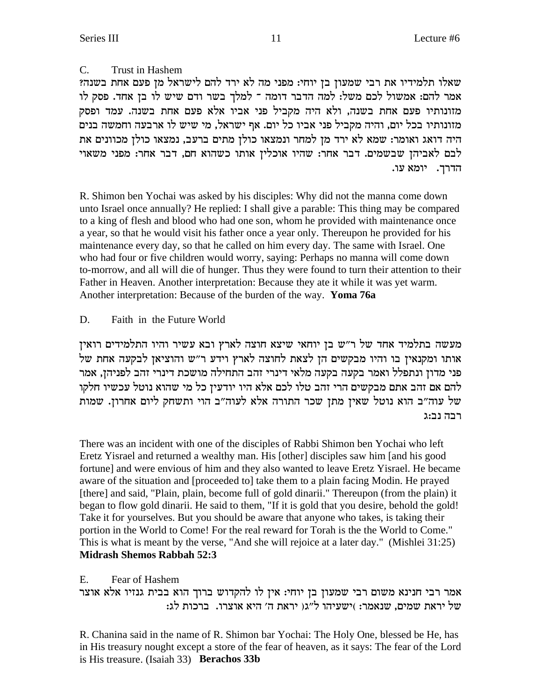## C. Trust in Hashem

. שאלו תלמידיו את רבי שמעון בן יוחי: מפני מה לא ירד להם לישראל מן פעם אחת בשנה אמר להם: אמשול לכם משל: למה הדבר דומה <sup>-</sup> למלך בשר ודם שיש לו בן אחד. פסק לו מזונותיו פעם אחת בשנה, ולא היה מקביל פני אביו אלא פעם אחת בשנה. עמד ופסק מזונותיו בכל יום, והיה מקביל פני אביו כל יום. אף ישראל, מי שיש לו ארבעה וחמשה בנים היה דואג ואומר: שמא לא ירד מן למחר ונמצאו כולן מתים ברעב, נמצאו כולן מכוונים את לבם לאביהן שבשמים. דבר אחר: שהיו אוכלין אותו כשהוא חם, דבר אחר: מפני משאוי הדרך. יומא עו.

R. Shimon ben Yochai was asked by his disciples: Why did not the manna come down unto Israel once annually? He replied: I shall give a parable: This thing may be compared to a king of flesh and blood who had one son, whom he provided with maintenance once a year, so that he would visit his father once a year only. Thereupon he provided for his maintenance every day, so that he called on him every day. The same with Israel. One who had four or five children would worry, saying: Perhaps no manna will come down to-morrow, and all will die of hunger. Thus they were found to turn their attention to their Father in Heaven. Another interpretation: Because they ate it while it was yet warm. Another interpretation: Because of the burden of the way. **Yoma 76a**

D. Faith in the Future World

מעשה בתלמיד אחד של ר"ש בן יוחאי שיצא חוצה לארץ ובא עשיר והיו התלמידים רואין אותו ומקנאין בו והיו מבקשים הן לצאת לחוצה לארץ וידע ר"ש והוציאן לבקעה אחת של פני מדון ונתפלל ואמר בקעה בקעה מלאי דינרי זהב התחילה מושכת דינרי זהב לפניהן, אמר להם אם זהב אתם מבקשים הרי זהב טלו לכם אלא היו יודעין כל מי שהוא נוטל עכשיו חלקו של עוה"ב הוא נוטל שאין מתן שכר התורה אלא לעוה"ב הוי ותשחק ליום אחרון. שמות רבה נב:ג

There was an incident with one of the disciples of Rabbi Shimon ben Yochai who left Eretz Yisrael and returned a wealthy man. His [other] disciples saw him [and his good fortune] and were envious of him and they also wanted to leave Eretz Yisrael. He became aware of the situation and [proceeded to] take them to a plain facing Modin. He prayed [there] and said, "Plain, plain, become full of gold dinarii." Thereupon (from the plain) it began to flow gold dinarii. He said to them, "If it is gold that you desire, behold the gold! Take it for yourselves. But you should be aware that anyone who takes, is taking their portion in the World to Come! For the real reward for Torah is the the World to Come." This is what is meant by the verse, "And she will rejoice at a later day." (Mishlei 31:25) **Midrash Shemos Rabbah 52:3**

E. Fear of Hashem

אמר רבי חנינא משום רבי שמעון בן יוחי: אין לו להקדוש ברוך הוא בבית גנזיו אלא אוצר : של יראת שמים, שנאמר: )ישעיהו ל"גו יראת ה' היא אוצרו. ברכות לג

R. Chanina said in the name of R. Shimon bar Yochai: The Holy One, blessed be He, has in His treasury nought except a store of the fear of heaven, as it says: The fear of the Lord is His treasure. (Isaiah 33) **Berachos 33b**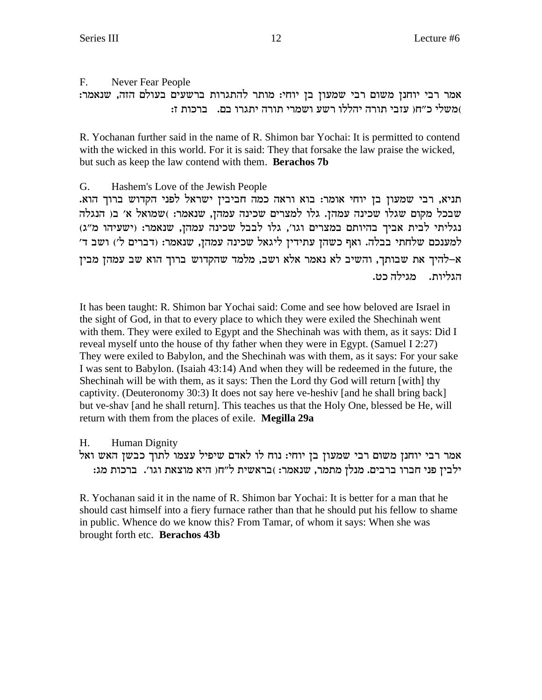#### F. Never Fear People

:אמר רבי יוחנן משום רבי שמעון בן יוחי: מותר להתגרות ברשעים בעולם הזה, שנאמר :<br/>משלי כ"חו עזבי תורה יהללו רשע ושמרי תורה ומגרו משלי כ"חו

R. Yochanan further said in the name of R. Shimon bar Yochai: It is permitted to contend with the wicked in this world. For it is said: They that forsake the law praise the wicked, but such as keep the law contend with them. **Berachos 7b**

G. Hashem's Love of the Jewish People

. תניא, רבי שמעון בן יוחי אומר: בוא וראה כמה חביבין ישראל לפני הקדוש ברוך הוא שבכל מקום שגלו שכינה עמהן. גלו למצרים שכינה עמהן, שנאמר: )שמואל א' בן הנגלה (נגליתי לבית אביך בהיותם במצרים וגו', גלו לבבל שכינה עמהן, שנאמר: (ישעיהו מ"ג) למענכם שלחתי בבלה. ואף כשהן עתידין ליגאל שכינה עמהן, שנאמר: (דברים ל') ושב ד' א-להיך את שבותך, והשיב לא נאמר אלא ושב, מלמד שהקדוש ברוך הוא שב עמהן מבין .הגליות. מגילה כט

It has been taught: R. Shimon bar Yochai said: Come and see how beloved are Israel in the sight of God, in that to every place to which they were exiled the Shechinah went with them. They were exiled to Egypt and the Shechinah was with them, as it says: Did I reveal myself unto the house of thy father when they were in Egypt. (Samuel I 2:27) They were exiled to Babylon, and the Shechinah was with them, as it says: For your sake I was sent to Babylon. (Isaiah 43:14) And when they will be redeemed in the future, the Shechinah will be with them, as it says: Then the Lord thy God will return [with] thy captivity. (Deuteronomy 30:3) It does not say here ve-heshiv [and he shall bring back] but ve-shav [and he shall return]. This teaches us that the Holy One, blessed be He, will return with them from the places of exile. **Megilla 29a**

H. Human Dignity

אמר רבי יוחנן משום רבי שמעון בן יוחי: נוח לו לאדם שיפיל עצמו לתוך כבשן האש ואל : לבין פני חברו ברבים. מנלן מתמר, שנאמר: )בראשית ל"ח<br/>( $\pi$ מגי האברו לכוח סוג:

R. Yochanan said it in the name of R. Shimon bar Yochai: It is better for a man that he should cast himself into a fiery furnace rather than that he should put his fellow to shame in public. Whence do we know this? From Tamar, of whom it says: When she was brought forth etc. **Berachos 43b**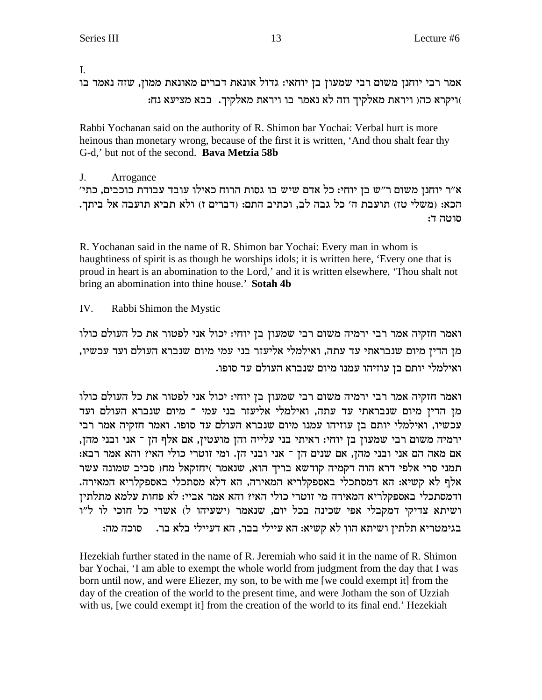I.

אמר רבי יוחנן משום רבי שמעון בן יוחאי: גדול אונאת דברים מאונאת ממון, שזה נאמר בו :ויקרא כהו ויראת מאלקיך וזה לא נאמר בו ויראת מאלקיך. בבא מציעא נח

Rabbi Yochanan said on the authority of R. Shimon bar Yochai: Verbal hurt is more heinous than monetary wrong, because of the first it is written, 'And thou shalt fear thy G-d,' but not of the second. **Bava Metzia 58b**

J. Arrogance א״ר יוחנן משום ר״ש בן יוחי: כל אדם שיש בו גסות הרוח כאילו עובד עבודת כוכבים, כתי׳ הכא: (משלי טז) תועבת ה' כל גבה לב, וכתיב התם: (דברים ז) ולא תביא תועבה אל ביתך. :סוטה ד

R. Yochanan said in the name of R. Shimon bar Yochai: Every man in whom is haughtiness of spirit is as though he worships idols; it is written here, 'Every one that is proud in heart is an abomination to the Lord,' and it is written elsewhere, 'Thou shalt not bring an abomination into thine house.'**Sotah 4b**

IV. Rabbi Shimon the Mystic

ואמר חזקיה אמר רבי ירמיה משום רבי שמעון בן יוחי: יכול אני לפטור את כל העולם כולו ,מן הדין מיום שנבראתי עד עתה, ואילמלי אליעזר בני עמי מיום שנברא העולם ועד עכשיו .<br>ואילמלי יותם בן עוזיהו עמנו מיום שנברא העולם עד סופו

ואמר חזקיה אמר רבי ירמיה משום רבי שמעון בן יוחי: יכול אני לפטור את כל העולם כולו מן הדין מיום שנבראתי עד עתה, ואילמלי אליעזר בני עמי <sup>–</sup> מיום שנברא העולם ועד עכשיו, ואילמלי יותם בן עוזיהו עמנו מיום שנברא העולם עד סופו. ואמר חזקיה אמר רבי ירמיה משום רבי שמעון בן יוחי: ראיתי בני עלייה והן מועטין, אם אלף הן ־ אני ובני מהן, : אם מאה הם אני ובני מהן, אם שנים הן ־ אני ובני הן. ומי זוטרי כולי האי? והא אמר רבא תמני סרי אלפי דרא הוה דקמיה קודשא בריך הוא, שנאמר )יחזקאל מח( סביב שמונה עשר .<br>אלף לא קשיא: הא דמסתכלי באספקלריא המאירה, הא דלא מסתכלי באספקלריא המאירה ודמסתכלי באספקלריא המאירה מי זוטרי כולי האי? והא אמר אביי: לא פחות עלמא מתלתין ושיתא צדיקי דמקבלי אפי שכינה בכל יום, שנאמר (ישעיהו ל) אשרי כל חוכי לו ל"ו : בגימטריא תלתין ושיתא הוו לא קשיא: הא עיילי בבר, הא דעיילי בלא בר. חסוכה מה

Hezekiah further stated in the name of R. Jeremiah who said it in the name of R. Shimon bar Yochai, 'I am able to exempt the whole world from judgment from the day that I was born until now, and were Eliezer, my son, to be with me [we could exempt it] from the day of the creation of the world to the present time, and were Jotham the son of Uzziah with us, [we could exempt it] from the creation of the world to its final end.' Hezekiah